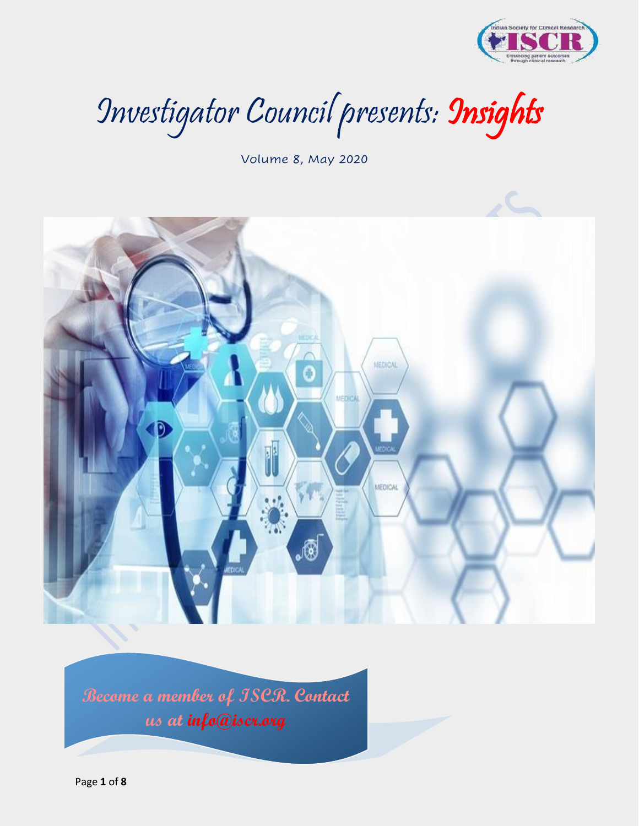

Investigator Council presents: Insights

Volume 8, May 2020



**Become a member of ISCR. Contact us at info@iscr.org**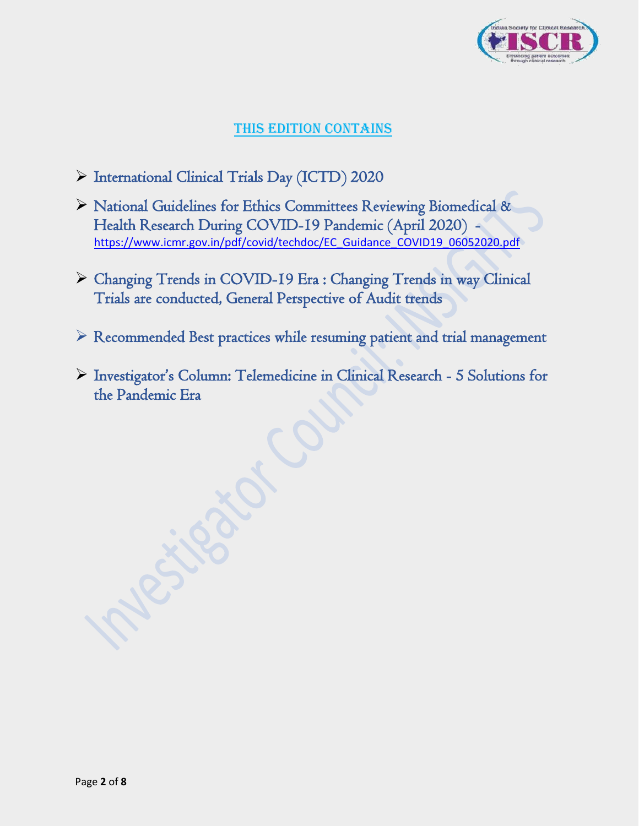

## This edition contains

- ➢ International Clinical Trials Day (ICTD) 2020
- ➢ National Guidelines for Ethics Committees Reviewing Biomedical & Health Research During COVID-19 Pandemic (April 2020) [https://www.icmr.gov.in/pdf/covid/techdoc/EC\\_Guidance\\_COVID19\\_06052020.pdf](https://www.icmr.gov.in/pdf/covid/techdoc/EC_Guidance_COVID19_06052020.pdf)
- ➢ Changing Trends in COVID-19 Era : Changing Trends in way Clinical Trials are conducted, General Perspective of Audit trends
- ➢ Recommended Best practices while resuming patient and trial management
- ➢ Investigator's Column: Telemedicine in Clinical Research 5 Solutions for the Pandemic Era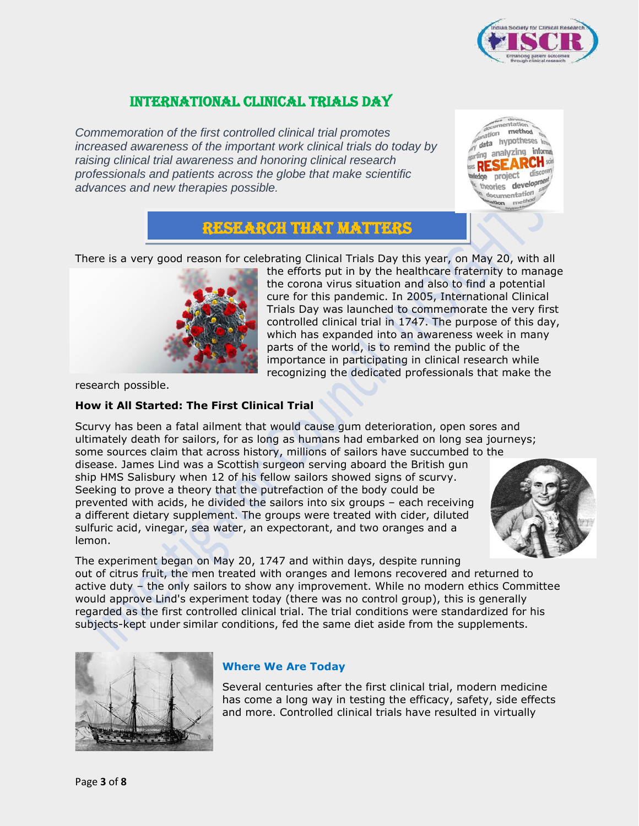

## International Clinical Trials Day

*Commemoration of the first controlled clinical trial promotes increased awareness of the important work clinical trials do today by raising clinical trial awareness and honoring clinical research professionals and patients across the globe that make scientific advances and new therapies possible.*

method hypotheses analyzing inform ries develop cumentation me

# Research That Matters

There is a very good reason for celebrating Clinical Trials Day this year, on May 20, with all



the efforts put in by the healthcare fraternity to manage the corona virus situation and also to find a potential cure for this pandemic. In 2005, International Clinical Trials Day was launched to commemorate the very first controlled clinical trial in 1747. The purpose of this day, which has expanded into an awareness week in many parts of the world, is to remind the public of the importance in participating in clinical research while recognizing the dedicated professionals that make the

research possible.

### **How it All Started: The First Clinical Trial**

Scurvy has been a fatal ailment that would cause gum deterioration, open sores and ultimately death for sailors, for as long as humans had embarked on long sea journeys; some sources claim that across history, millions of sailors have succumbed to the

disease. James Lind was a Scottish surgeon serving aboard the British gun ship HMS Salisbury when 12 of his fellow sailors showed signs of scurvy. Seeking to prove a theory that the putrefaction of the body could be prevented with acids, he divided the sailors into six groups – each receiving a different dietary supplement. The groups were treated with cider, diluted sulfuric acid, vinegar, sea water, an expectorant, and two oranges and a lemon.



The experiment began on May 20, 1747 and within days, despite running out of citrus fruit, the men treated with oranges and lemons recovered and returned to active duty – the only sailors to show any improvement. While no modern ethics Committee would approve Lind's experiment today (there was no control group), this is generally regarded as the first controlled clinical trial. The trial conditions were standardized for his subjects-kept under similar conditions, fed the same diet aside from the supplements.



### **Where We Are Today**

Several centuries after the first clinical trial, modern medicine has come a long way in testing the efficacy, safety, side effects and more. Controlled clinical trials have resulted in virtually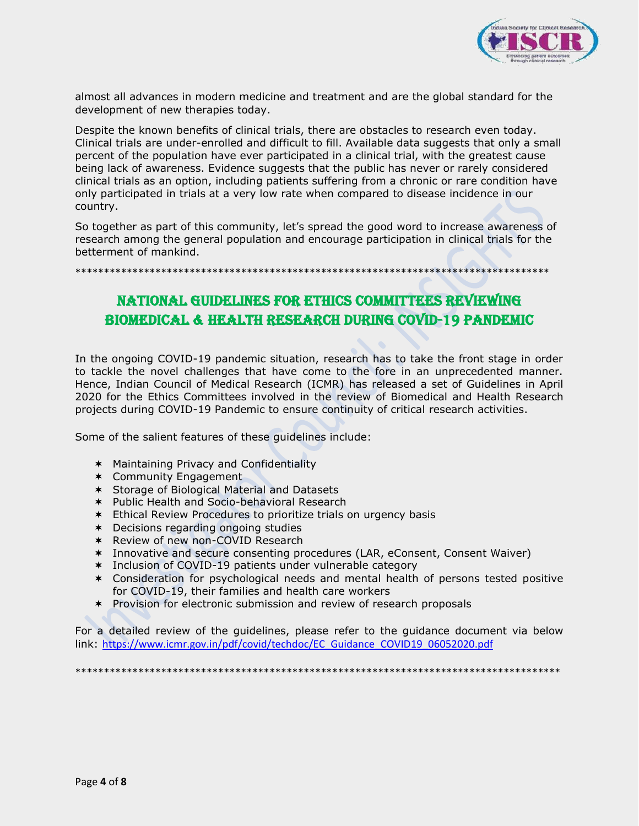

almost all advances in modern medicine and treatment and are the global standard for the development of new therapies today.

Despite the known benefits of clinical trials, there are obstacles to research even today. Clinical trials are under-enrolled and difficult to fill. Available data suggests that only a small percent of the population have ever participated in a clinical trial, with the greatest cause being lack of awareness. Evidence suggests that the public has never or rarely considered clinical trials as an option, including patients suffering from a chronic or rare condition have only participated in trials at a very low rate when compared to disease incidence in our country.

So together as part of this community, let's spread the good word to increase awareness of research among the general population and encourage participation in clinical trials for the betterment of mankind.

\*\*\*\*\*\*\*\*\*\*\*\*\*\*\*\*\*\*\*\*\*\*\*\*\*\*\*\*\*\*\*\*\*\*\*\*\*\*\*\*\*\*\*\*\*\*\*\*\*\*\*\*\*\*\*\*\*\*\*\*\*\*\*\*\*\*\*\*\*\*\*\*\*\*\*\*\*\*\*\*\*\*\*

# National Guidelines for ethics committees reviewing biomedical & health research during covid-19 pandemic

In the ongoing COVID-19 pandemic situation, research has to take the front stage in order to tackle the novel challenges that have come to the fore in an unprecedented manner. Hence, Indian Council of Medical Research (ICMR) has released a set of Guidelines in April 2020 for the Ethics Committees involved in the review of Biomedical and Health Research projects during COVID-19 Pandemic to ensure continuity of critical research activities.

Some of the salient features of these guidelines include:

- Maintaining Privacy and Confidentiality
- \* Community Engagement
- Storage of Biological Material and Datasets
- \* Public Health and Socio-behavioral Research
- Ethical Review Procedures to prioritize trials on urgency basis
- Decisions regarding ongoing studies
- \* Review of new non-COVID Research
- Innovative and secure consenting procedures (LAR, eConsent, Consent Waiver)
- \* Inclusion of COVID-19 patients under vulnerable category
- Consideration for psychological needs and mental health of persons tested positive for COVID-19, their families and health care workers
- \* Provision for electronic submission and review of research proposals

For a detailed review of the guidelines, please refer to the guidance document via below link: [https://www.icmr.gov.in/pdf/covid/techdoc/EC\\_Guidance\\_COVID19\\_06052020.pdf](https://www.icmr.gov.in/pdf/covid/techdoc/EC_Guidance_COVID19_06052020.pdf)

\*\*\*\*\*\*\*\*\*\*\*\*\*\*\*\*\*\*\*\*\*\*\*\*\*\*\*\*\*\*\*\*\*\*\*\*\*\*\*\*\*\*\*\*\*\*\*\*\*\*\*\*\*\*\*\*\*\*\*\*\*\*\*\*\*\*\*\*\*\*\*\*\*\*\*\*\*\*\*\*\*\*\*\*\*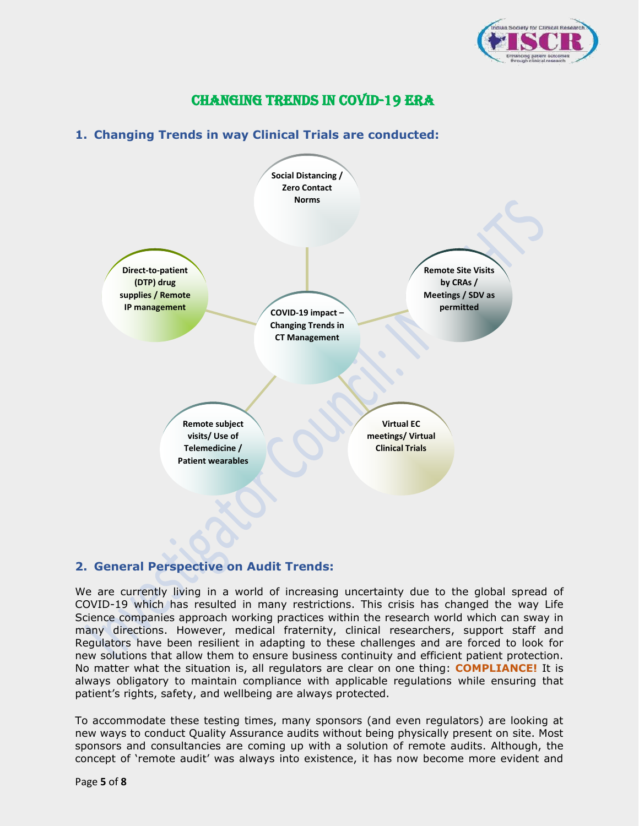

## Changing Trends in COVID-19 Era

### **1. Changing Trends in way Clinical Trials are conducted:**



### **2. General Perspective on Audit Trends:**

We are currently living in a world of increasing uncertainty due to the global spread of COVID-19 which has resulted in many restrictions. This crisis has changed the way Life Science companies approach working practices within the research world which can sway in many directions. However, medical fraternity, clinical researchers, support staff and Regulators have been resilient in adapting to these challenges and are forced to look for new solutions that allow them to ensure business continuity and efficient patient protection. No matter what the situation is, all regulators are clear on one thing: **COMPLIANCE!** It is always obligatory to maintain compliance with applicable regulations while ensuring that patient's rights, safety, and wellbeing are always protected.

To accommodate these testing times, many sponsors (and even regulators) are looking at new ways to conduct Quality Assurance audits without being physically present on site. Most sponsors and consultancies are coming up with a solution of remote audits. Although, the concept of 'remote audit' was always into existence, it has now become more evident and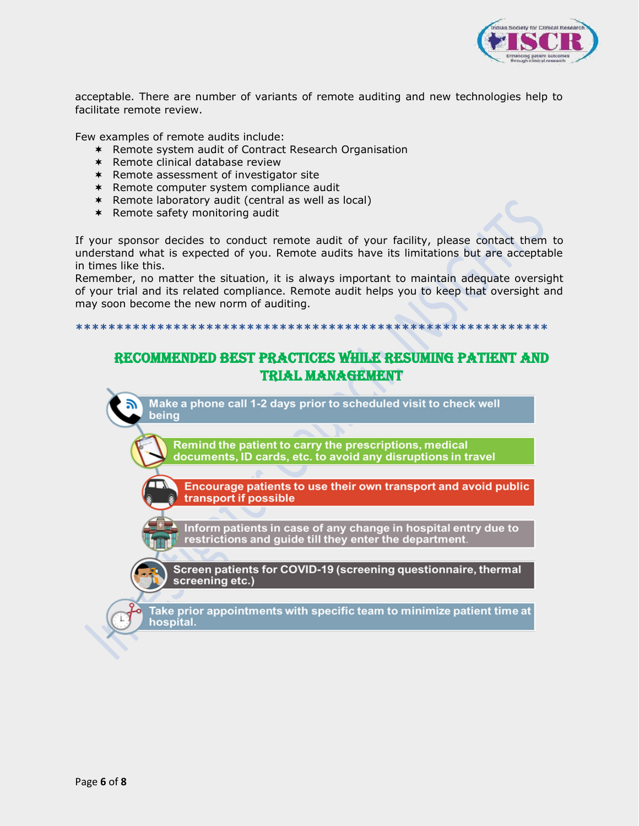

acceptable. There are number of variants of remote auditing and new technologies help to facilitate remote review.

Few examples of remote audits include:

- \* Remote system audit of Contract Research Organisation
- $*$  Remote clinical database review
- \* Remote assessment of investigator site
- Remote computer system compliance audit
- Remote laboratory audit (central as well as local)
- $*$  Remote safety monitoring audit

If your sponsor decides to conduct remote audit of your facility, please contact them to understand what is expected of you. Remote audits have its limitations but are acceptable in times like this.

Remember, no matter the situation, it is always important to maintain adequate oversight of your trial and its related compliance. Remote audit helps you to keep that oversight and may soon become the new norm of auditing.

**\*\*\*\*\*\*\*\*\*\*\*\*\*\*\*\*\*\*\*\*\*\*\*\*\*\*\*\*\*\*\*\*\*\*\*\*\*\*\*\*\*\*\*\*\*\*\*\*\*\*\*\*\*\*\*\*\*\***

## Recommended Best practices while resuming patient and trial management

Make a phone call 1-2 days prior to scheduled visit to check well being Remind the patient to carry the prescriptions, medical documents, ID cards, etc. to avoid any disruptions in travel

Encourage patients to use their own transport and avoid public transport if possible

Inform patients in case of any change in hospital entry due to<br>restrictions and guide till they enter the department.

Screen patients for COVID-19 (screening questionnaire, thermal screening etc.)

Take prior appointments with specific team to minimize patient time at hospital.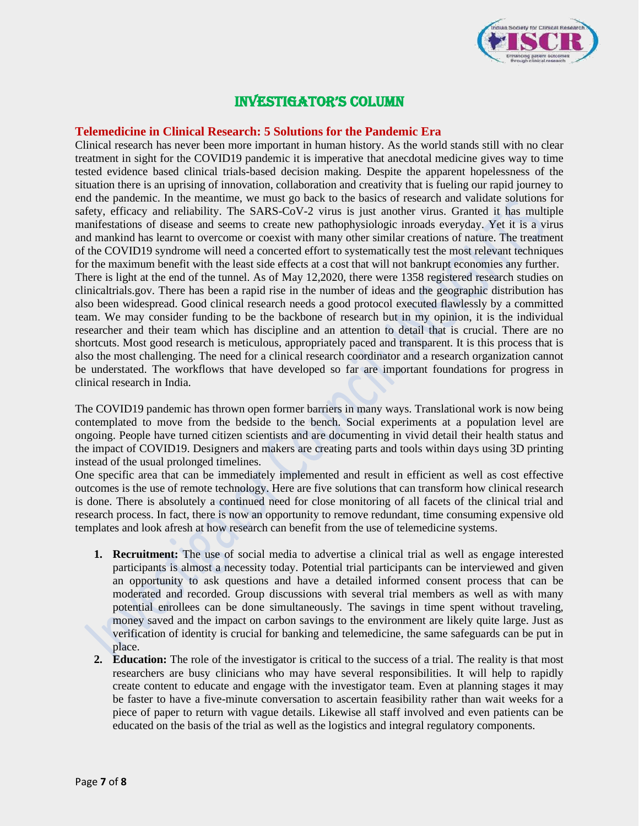

### Investigator's Column

### **Telemedicine in Clinical Research: 5 Solutions for the Pandemic Era**

Clinical research has never been more important in human history. As the world stands still with no clear treatment in sight for the COVID19 pandemic it is imperative that anecdotal medicine gives way to time tested evidence based clinical trials-based decision making. Despite the apparent hopelessness of the situation there is an uprising of innovation, collaboration and creativity that is fueling our rapid journey to end the pandemic. In the meantime, we must go back to the basics of research and validate solutions for safety, efficacy and reliability. The SARS-CoV-2 virus is just another virus. Granted it has multiple manifestations of disease and seems to create new pathophysiologic inroads everyday. Yet it is a virus and mankind has learnt to overcome or coexist with many other similar creations of nature. The treatment of the COVID19 syndrome will need a concerted effort to systematically test the most relevant techniques for the maximum benefit with the least side effects at a cost that will not bankrupt economies any further. There is light at the end of the tunnel. As of May 12,2020, there were 1358 registered research studies on [clinicaltrials.gov.](http://clinicaltrials.gov/) There has been a rapid rise in the number of ideas and the geographic distribution has also been widespread. Good clinical research needs a good protocol executed flawlessly by a committed team. We may consider funding to be the backbone of research but in my opinion, it is the individual researcher and their team which has discipline and an attention to detail that is crucial. There are no shortcuts. Most good research is meticulous, appropriately paced and transparent. It is this process that is also the most challenging. The need for a clinical research coordinator and a research organization cannot be understated. The workflows that have developed so far are important foundations for progress in clinical research in India.

The COVID19 pandemic has thrown open former barriers in many ways. Translational work is now being contemplated to move from the bedside to the bench. Social experiments at a population level are ongoing. People have turned citizen scientists and are documenting in vivid detail their health status and the impact of COVID19. Designers and makers are creating parts and tools within days using 3D printing instead of the usual prolonged timelines.

One specific area that can be immediately implemented and result in efficient as well as cost effective outcomes is the use of remote technology. Here are five solutions that can transform how clinical research is done. There is absolutely a continued need for close monitoring of all facets of the clinical trial and research process. In fact, there is now an opportunity to remove redundant, time consuming expensive old templates and look afresh at how research can benefit from the use of telemedicine systems.

- **1. Recruitment:** The use of social media to advertise a clinical trial as well as engage interested participants is almost a necessity today. Potential trial participants can be interviewed and given an opportunity to ask questions and have a detailed informed consent process that can be moderated and recorded. Group discussions with several trial members as well as with many potential enrollees can be done simultaneously. The savings in time spent without traveling, money saved and the impact on carbon savings to the environment are likely quite large. Just as verification of identity is crucial for banking and telemedicine, the same safeguards can be put in place.
- **2. Education:** The role of the investigator is critical to the success of a trial. The reality is that most researchers are busy clinicians who may have several responsibilities. It will help to rapidly create content to educate and engage with the investigator team. Even at planning stages it may be faster to have a five-minute conversation to ascertain feasibility rather than wait weeks for a piece of paper to return with vague details. Likewise all staff involved and even patients can be educated on the basis of the trial as well as the logistics and integral regulatory components.